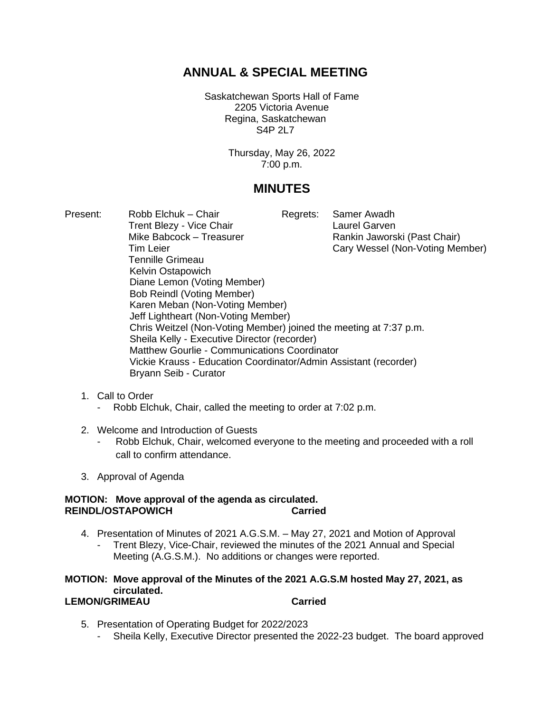# **ANNUAL & SPECIAL MEETING**

Saskatchewan Sports Hall of Fame 2205 Victoria Avenue Regina, Saskatchewan S4P 2L7

> Thursday, May 26, 2022 7:00 p.m.

## **MINUTES**

- Present: Robb Elchuk Chair Regrets: Samer Awadh Trent Blezy - Vice Chair **Laurel Garven** Mike Babcock – Treasurer Rankin Jaworski (Past Chair) Tim Leier Cary Wessel (Non-Voting Member) Tennille Grimeau Kelvin Ostapowich Diane Lemon (Voting Member) Bob Reindl (Voting Member) Karen Meban (Non-Voting Member) Jeff Lightheart (Non-Voting Member) Chris Weitzel (Non-Voting Member) joined the meeting at 7:37 p.m. Sheila Kelly - Executive Director (recorder) Matthew Gourlie - Communications Coordinator Vickie Krauss - Education Coordinator/Admin Assistant (recorder) Bryann Seib - Curator
	- 1. Call to Order
		- Robb Elchuk, Chair, called the meeting to order at 7:02 p.m.
	- 2. Welcome and Introduction of Guests
		- Robb Elchuk, Chair, welcomed everyone to the meeting and proceeded with a roll call to confirm attendance.
	- 3. Approval of Agenda

## **MOTION: Move approval of the agenda as circulated. REINDL/OSTAPOWICH Carried**

- 4. Presentation of Minutes of 2021 A.G.S.M. May 27, 2021 and Motion of Approval
	- Trent Blezy, Vice-Chair, reviewed the minutes of the 2021 Annual and Special Meeting (A.G.S.M.). No additions or changes were reported.

#### **MOTION: Move approval of the Minutes of the 2021 A.G.S.M hosted May 27, 2021, as circulated. LEMON/GRIMEAU Carried**

- 5. Presentation of Operating Budget for 2022/2023
	- Sheila Kelly, Executive Director presented the 2022-23 budget. The board approved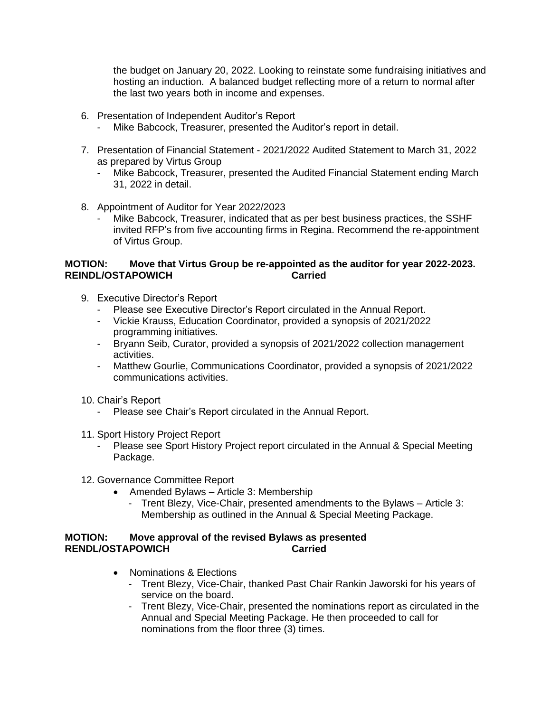the budget on January 20, 2022. Looking to reinstate some fundraising initiatives and hosting an induction. A balanced budget reflecting more of a return to normal after the last two years both in income and expenses.

- 6. Presentation of Independent Auditor's Report
	- Mike Babcock, Treasurer, presented the Auditor's report in detail.
- 7. Presentation of Financial Statement 2021/2022 Audited Statement to March 31, 2022 as prepared by Virtus Group
	- Mike Babcock, Treasurer, presented the Audited Financial Statement ending March 31, 2022 in detail.
- 8. Appointment of Auditor for Year 2022/2023
	- Mike Babcock, Treasurer, indicated that as per best business practices, the SSHF invited RFP's from five accounting firms in Regina. Recommend the re-appointment of Virtus Group.

### **MOTION: Move that Virtus Group be re-appointed as the auditor for year 2022-2023. REINDL/OSTAPOWICH Carried**

- 9. Executive Director's Report
	- Please see Executive Director's Report circulated in the Annual Report.
	- Vickie Krauss, Education Coordinator, provided a synopsis of 2021/2022 programming initiatives.
	- Bryann Seib, Curator, provided a synopsis of 2021/2022 collection management activities.
	- Matthew Gourlie, Communications Coordinator, provided a synopsis of 2021/2022 communications activities.
- 10. Chair's Report
	- Please see Chair's Report circulated in the Annual Report.
- 11. Sport History Project Report
	- Please see Sport History Project report circulated in the Annual & Special Meeting Package.
- 12. Governance Committee Report
	- Amended Bylaws Article 3: Membership
		- Trent Blezy, Vice-Chair, presented amendments to the Bylaws Article 3: Membership as outlined in the Annual & Special Meeting Package.

## **MOTION: Move approval of the revised Bylaws as presented RENDL/OSTAPOWICH Carried**

- Nominations & Elections
	- Trent Blezy, Vice-Chair, thanked Past Chair Rankin Jaworski for his years of service on the board.
	- Trent Blezy, Vice-Chair, presented the nominations report as circulated in the Annual and Special Meeting Package. He then proceeded to call for nominations from the floor three (3) times.